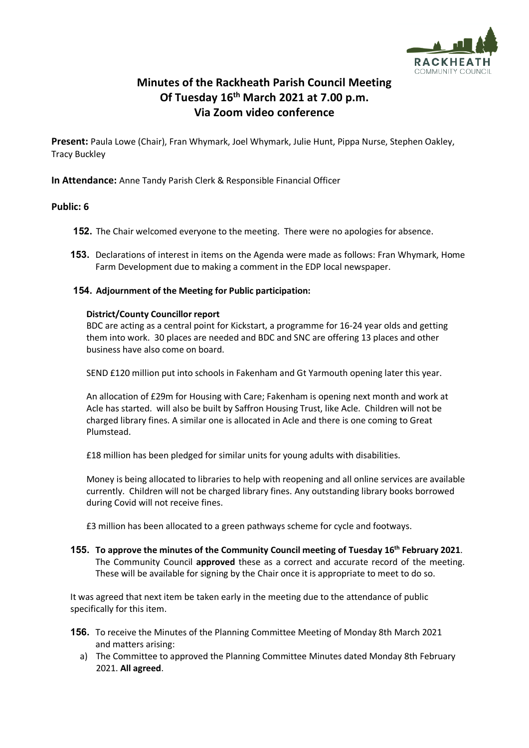

# **Minutes of the Rackheath Parish Council Meeting Of Tuesday 16th March 2021 at 7.00 p.m. Via Zoom video conference**

**Present:** Paula Lowe (Chair), Fran Whymark, Joel Whymark, Julie Hunt, Pippa Nurse, Stephen Oakley, Tracy Buckley

**In Attendance:** Anne Tandy Parish Clerk & Responsible Financial Officer

# **Public: 6**

- **152.** The Chair welcomed everyone to the meeting. There were no apologies for absence.
- **153.** Declarations of interest in items on the Agenda were made as follows: Fran Whymark, Home Farm Development due to making a comment in the EDP local newspaper.

# **154. Adjournment of the Meeting for Public participation:**

### **District/County Councillor report**

BDC are acting as a central point for Kickstart, a programme for 16-24 year olds and getting them into work. 30 places are needed and BDC and SNC are offering 13 places and other business have also come on board.

SEND £120 million put into schools in Fakenham and Gt Yarmouth opening later this year.

An allocation of £29m for Housing with Care; Fakenham is opening next month and work at Acle has started. will also be built by Saffron Housing Trust, like Acle. Children will not be charged library fines. A similar one is allocated in Acle and there is one coming to Great Plumstead.

£18 million has been pledged for similar units for young adults with disabilities.

Money is being allocated to libraries to help with reopening and all online services are available currently. Children will not be charged library fines. Any outstanding library books borrowed during Covid will not receive fines.

£3 million has been allocated to a green pathways scheme for cycle and footways.

**155. To approve the minutes of the Community Council meeting of Tuesday 16th February 2021**. The Community Council **approved** these as a correct and accurate record of the meeting. These will be available for signing by the Chair once it is appropriate to meet to do so.

It was agreed that next item be taken early in the meeting due to the attendance of public specifically for this item.

- **156.** To receive the Minutes of the Planning Committee Meeting of Monday 8th March 2021 and matters arising:
	- a) The Committee to approved the Planning Committee Minutes dated Monday 8th February 2021. **All agreed**.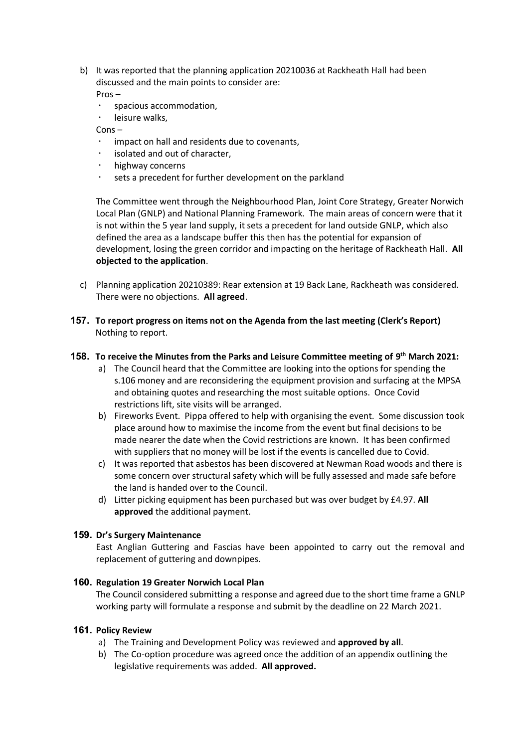b) It was reported that the planning application 20210036 at Rackheath Hall had been discussed and the main points to consider are:

Pros –

- spacious accommodation,
- leisure walks,

Cons –

- impact on hall and residents due to covenants,
- isolated and out of character,
- highway concerns
- sets a precedent for further development on the parkland

The Committee went through the Neighbourhood Plan, Joint Core Strategy, Greater Norwich Local Plan (GNLP) and National Planning Framework. The main areas of concern were that it is not within the 5 year land supply, it sets a precedent for land outside GNLP, which also defined the area as a landscape buffer this then has the potential for expansion of development, losing the green corridor and impacting on the heritage of Rackheath Hall. **All objected to the application**.

- c) Planning application 20210389: Rear extension at 19 Back Lane, Rackheath was considered. There were no objections. **All agreed**.
- **157. To report progress on items not on the Agenda from the last meeting (Clerk's Report)** Nothing to report.

# **158. To receive the Minutes from the Parks and Leisure Committee meeting of 9 th March 2021:**

- a) The Council heard that the Committee are looking into the options for spending the s.106 money and are reconsidering the equipment provision and surfacing at the MPSA and obtaining quotes and researching the most suitable options. Once Covid restrictions lift, site visits will be arranged.
- b) Fireworks Event. Pippa offered to help with organising the event. Some discussion took place around how to maximise the income from the event but final decisions to be made nearer the date when the Covid restrictions are known. It has been confirmed with suppliers that no money will be lost if the events is cancelled due to Covid.
- c) It was reported that asbestos has been discovered at Newman Road woods and there is some concern over structural safety which will be fully assessed and made safe before the land is handed over to the Council.
- d) Litter picking equipment has been purchased but was over budget by £4.97. **All approved** the additional payment.

### **159. Dr's Surgery Maintenance**

East Anglian Guttering and Fascias have been appointed to carry out the removal and replacement of guttering and downpipes.

### **160. Regulation 19 Greater Norwich Local Plan**

The Council considered submitting a response and agreed due to the short time frame a GNLP working party will formulate a response and submit by the deadline on 22 March 2021.

### **161. Policy Review**

- a) The Training and Development Policy was reviewed and **approved by all**.
- b) The Co-option procedure was agreed once the addition of an appendix outlining the legislative requirements was added. **All approved.**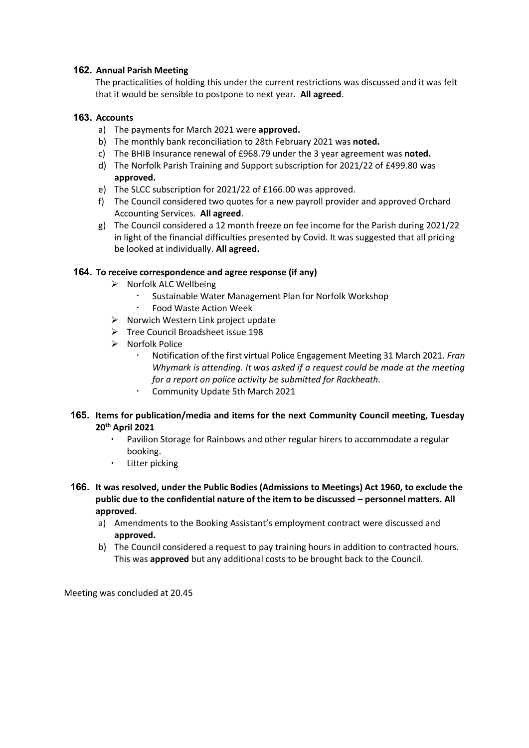# **162. Annual Parish Meeting**

The practicalities of holding this under the current restrictions was discussed and it was felt that it would be sensible to postpone to next year. **All agreed**.

# **163. Accounts**

- a) The payments for March 2021 were **approved.**
- b) The monthly bank reconciliation to 28th February 2021 was **noted.**
- c) The BHIB Insurance renewal of £968.79 under the 3 year agreement was **noted.**
- d) The Norfolk Parish Training and Support subscription for 2021/22 of £499.80 was **approved.**
- e) The SLCC subscription for 2021/22 of £166.00 was approved.
- f) The Council considered two quotes for a new payroll provider and approved Orchard Accounting Services. **All agreed**.
- g) The Council considered a 12 month freeze on fee income for the Parish during 2021/22 in light of the financial difficulties presented by Covid. It was suggested that all pricing be looked at individually. **All agreed.**

# **164. To receive correspondence and agree response (if any)**

- $\triangleright$  Norfolk ALC Wellbeing
	- Sustainable Water Management Plan for Norfolk Workshop
	- Food Waste Action Week
- ➢ Norwich Western Link project update
- ➢ Tree Council Broadsheet issue 198
- ➢ Norfolk Police
	- Notification of the first virtual Police Engagement Meeting 31 March 2021. *Fran Whymark is attending. It was asked if a request could be made at the meeting for a report on police activity be submitted for Rackheath.*
	- Community Update 5th March 2021
- **165. Items for publication/media and items for the next Community Council meeting, Tuesday 20th April 2021**
	- Pavilion Storage for Rainbows and other regular hirers to accommodate a regular booking.
	- Litter picking
- **166. It was resolved, under the Public Bodies (Admissions to Meetings) Act 1960, to exclude the public due to the confidential nature of the item to be discussed – personnel matters. All approved**.
	- a) Amendments to the Booking Assistant's employment contract were discussed and **approved.**
	- b) The Council considered a request to pay training hours in addition to contracted hours. This was **approved** but any additional costs to be brought back to the Council.

Meeting was concluded at 20.45